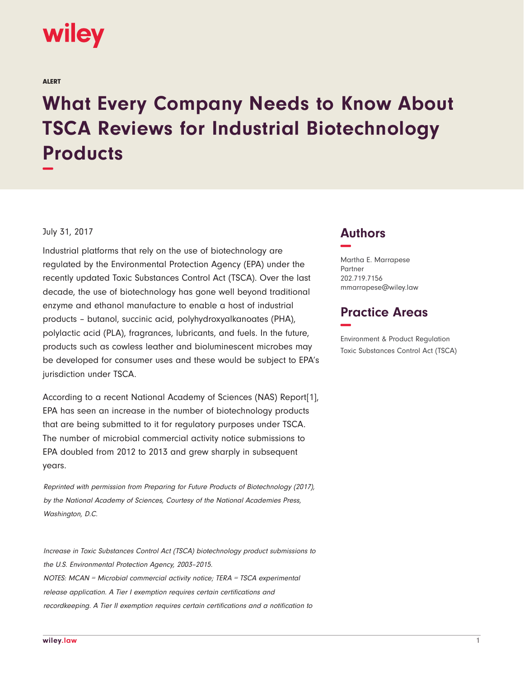

ALERT

# **What Every Company Needs to Know About TSCA Reviews for Industrial Biotechnology Products −**

#### July 31, 2017

Industrial platforms that rely on the use of biotechnology are regulated by the Environmental Protection Agency (EPA) under the recently updated Toxic Substances Control Act (TSCA). Over the last decade, the use of biotechnology has gone well beyond traditional enzyme and ethanol manufacture to enable a host of industrial products – butanol, succinic acid, polyhydroxyalkanoates (PHA), polylactic acid (PLA), fragrances, lubricants, and fuels. In the future, products such as cowless leather and bioluminescent microbes may be developed for consumer uses and these would be subject to EPA's jurisdiction under TSCA.

According to a recent National Academy of Sciences (NAS) Report[1], EPA has seen an increase in the number of biotechnology products that are being submitted to it for regulatory purposes under TSCA. The number of microbial commercial activity notice submissions to EPA doubled from 2012 to 2013 and grew sharply in subsequent years.

Reprinted with permission from Preparing for Future Products of Biotechnology (2017), by the National Academy of Sciences, Courtesy of the National Academies Press, Washington, D.C.

Increase in Toxic Substances Control Act (TSCA) biotechnology product submissions to the U.S. Environmental Protection Agency, 2003–2015. NOTES: MCAN = Microbial commercial activity notice; TERA = TSCA experimental release application. A Tier I exemption requires certain certifications and recordkeeping. A Tier II exemption requires certain certifications and a notification to

### **Authors −**

Martha E. Marrapese Partner 202.719.7156 mmarrapese@wiley.law

## **Practice Areas −**

Environment & Product Regulation Toxic Substances Control Act (TSCA)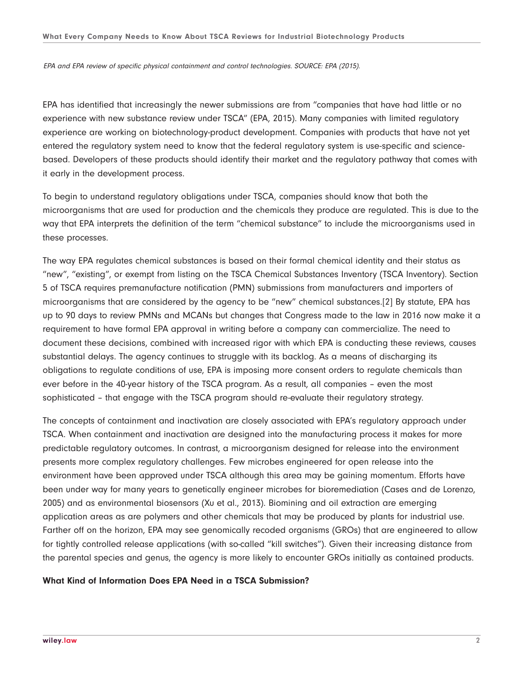EPA and EPA review of specific physical containment and control technologies. SOURCE: EPA (2015).

EPA has identified that increasingly the newer submissions are from "companies that have had little or no experience with new substance review under TSCA" (EPA, 2015). Many companies with limited regulatory experience are working on biotechnology-product development. Companies with products that have not yet entered the regulatory system need to know that the federal regulatory system is use-specific and sciencebased. Developers of these products should identify their market and the regulatory pathway that comes with it early in the development process.

To begin to understand regulatory obligations under TSCA, companies should know that both the microorganisms that are used for production and the chemicals they produce are regulated. This is due to the way that EPA interprets the definition of the term "chemical substance" to include the microorganisms used in these processes.

The way EPA regulates chemical substances is based on their formal chemical identity and their status as "new", "existing", or exempt from listing on the TSCA Chemical Substances Inventory (TSCA Inventory). Section 5 of TSCA requires premanufacture notification (PMN) submissions from manufacturers and importers of microorganisms that are considered by the agency to be "new" chemical substances.[2] By statute, EPA has up to 90 days to review PMNs and MCANs but changes that Congress made to the law in 2016 now make it a requirement to have formal EPA approval in writing before a company can commercialize. The need to document these decisions, combined with increased rigor with which EPA is conducting these reviews, causes substantial delays. The agency continues to struggle with its backlog. As a means of discharging its obligations to regulate conditions of use, EPA is imposing more consent orders to regulate chemicals than ever before in the 40-year history of the TSCA program. As a result, all companies – even the most sophisticated – that engage with the TSCA program should re-evaluate their regulatory strategy.

The concepts of containment and inactivation are closely associated with EPA's regulatory approach under TSCA. When containment and inactivation are designed into the manufacturing process it makes for more predictable regulatory outcomes. In contrast, a microorganism designed for release into the environment presents more complex regulatory challenges. Few microbes engineered for open release into the environment have been approved under TSCA although this area may be gaining momentum. Efforts have been under way for many years to genetically engineer microbes for bioremediation (Cases and de Lorenzo, 2005) and as environmental biosensors (Xu et al., 2013). Biomining and oil extraction are emerging application areas as are polymers and other chemicals that may be produced by plants for industrial use. Farther off on the horizon, EPA may see genomically recoded organisms (GROs) that are engineered to allow for tightly controlled release applications (with so-called "kill switches"). Given their increasing distance from the parental species and genus, the agency is more likely to encounter GROs initially as contained products.

#### **What Kind of Information Does EPA Need in a TSCA Submission?**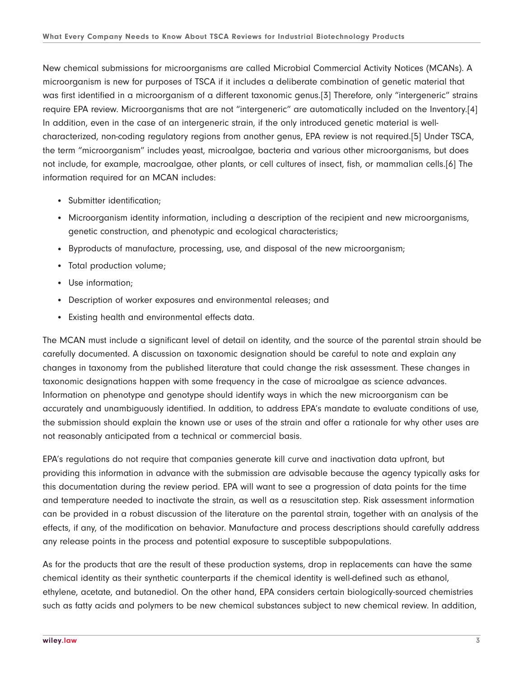New chemical submissions for microorganisms are called Microbial Commercial Activity Notices (MCANs). A microorganism is new for purposes of TSCA if it includes a deliberate combination of genetic material that was first identified in a microorganism of a different taxonomic genus.[3] Therefore, only "intergeneric" strains require EPA review. Microorganisms that are not "intergeneric" are automatically included on the Inventory.[4] In addition, even in the case of an intergeneric strain, if the only introduced genetic material is wellcharacterized, non-coding regulatory regions from another genus, EPA review is not required.[5] Under TSCA, the term "microorganism" includes yeast, microalgae, bacteria and various other microorganisms, but does not include, for example, macroalgae, other plants, or cell cultures of insect, fish, or mammalian cells.[6] The information required for an MCAN includes:

- Submitter identification;
- Microorganism identity information, including a description of the recipient and new microorganisms, genetic construction, and phenotypic and ecological characteristics;
- Byproducts of manufacture, processing, use, and disposal of the new microorganism;
- Total production volume;
- Use information;
- Description of worker exposures and environmental releases; and
- Existing health and environmental effects data.

The MCAN must include a significant level of detail on identity, and the source of the parental strain should be carefully documented. A discussion on taxonomic designation should be careful to note and explain any changes in taxonomy from the published literature that could change the risk assessment. These changes in taxonomic designations happen with some frequency in the case of microalgae as science advances. Information on phenotype and genotype should identify ways in which the new microorganism can be accurately and unambiguously identified. In addition, to address EPA's mandate to evaluate conditions of use, the submission should explain the known use or uses of the strain and offer a rationale for why other uses are not reasonably anticipated from a technical or commercial basis.

EPA's regulations do not require that companies generate kill curve and inactivation data upfront, but providing this information in advance with the submission are advisable because the agency typically asks for this documentation during the review period. EPA will want to see a progression of data points for the time and temperature needed to inactivate the strain, as well as a resuscitation step. Risk assessment information can be provided in a robust discussion of the literature on the parental strain, together with an analysis of the effects, if any, of the modification on behavior. Manufacture and process descriptions should carefully address any release points in the process and potential exposure to susceptible subpopulations.

As for the products that are the result of these production systems, drop in replacements can have the same chemical identity as their synthetic counterparts if the chemical identity is well-defined such as ethanol, ethylene, acetate, and butanediol. On the other hand, EPA considers certain biologically-sourced chemistries such as fatty acids and polymers to be new chemical substances subject to new chemical review. In addition,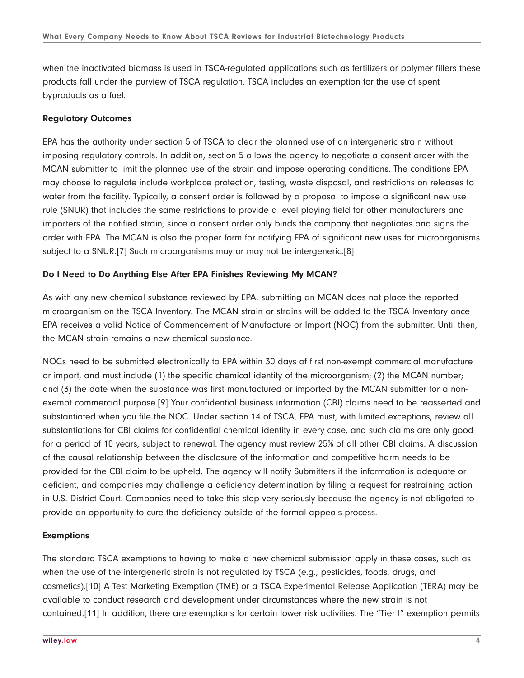when the inactivated biomass is used in TSCA-regulated applications such as fertilizers or polymer fillers these products fall under the purview of TSCA regulation. TSCA includes an exemption for the use of spent byproducts as a fuel.

#### **Regulatory Outcomes**

EPA has the authority under section 5 of TSCA to clear the planned use of an intergeneric strain without imposing regulatory controls. In addition, section 5 allows the agency to negotiate a consent order with the MCAN submitter to limit the planned use of the strain and impose operating conditions. The conditions EPA may choose to regulate include workplace protection, testing, waste disposal, and restrictions on releases to water from the facility. Typically, a consent order is followed by a proposal to impose a significant new use rule (SNUR) that includes the same restrictions to provide a level playing field for other manufacturers and importers of the notified strain, since a consent order only binds the company that negotiates and signs the order with EPA. The MCAN is also the proper form for notifying EPA of significant new uses for microorganisms subject to a SNUR.[7] Such microorganisms may or may not be intergeneric.[8]

#### **Do I Need to Do Anything Else After EPA Finishes Reviewing My MCAN?**

As with any new chemical substance reviewed by EPA, submitting an MCAN does not place the reported microorganism on the TSCA Inventory. The MCAN strain or strains will be added to the TSCA Inventory once EPA receives a valid Notice of Commencement of Manufacture or Import (NOC) from the submitter. Until then, the MCAN strain remains a new chemical substance.

NOCs need to be submitted electronically to EPA within 30 days of first non-exempt commercial manufacture or import, and must include (1) the specific chemical identity of the microorganism; (2) the MCAN number; and (3) the date when the substance was first manufactured or imported by the MCAN submitter for a nonexempt commercial purpose.[9] Your confidential business information (CBI) claims need to be reasserted and substantiated when you file the NOC. Under section 14 of TSCA, EPA must, with limited exceptions, review all substantiations for CBI claims for confidential chemical identity in every case, and such claims are only good for a period of 10 years, subject to renewal. The agency must review 25% of all other CBI claims. A discussion of the causal relationship between the disclosure of the information and competitive harm needs to be provided for the CBI claim to be upheld. The agency will notify Submitters if the information is adequate or deficient, and companies may challenge a deficiency determination by filing a request for restraining action in U.S. District Court. Companies need to take this step very seriously because the agency is not obligated to provide an opportunity to cure the deficiency outside of the formal appeals process.

#### **Exemptions**

The standard TSCA exemptions to having to make a new chemical submission apply in these cases, such as when the use of the intergeneric strain is not regulated by TSCA (e.g., pesticides, foods, drugs, and cosmetics).[10] A Test Marketing Exemption (TME) or a TSCA Experimental Release Application (TERA) may be available to conduct research and development under circumstances where the new strain is not contained.[11] In addition, there are exemptions for certain lower risk activities. The "Tier I" exemption permits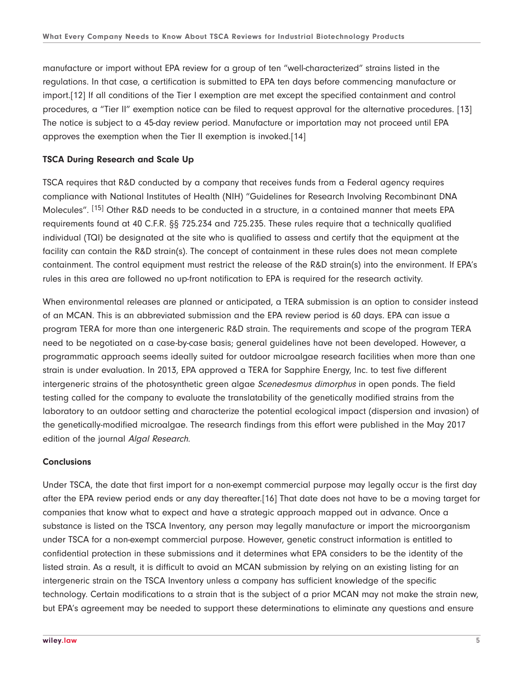manufacture or import without EPA review for a group of ten "well-characterized" strains listed in the regulations. In that case, a certification is submitted to EPA ten days before commencing manufacture or import.[12] If all conditions of the Tier I exemption are met except the specified containment and control procedures, a "Tier II" exemption notice can be filed to request approval for the alternative procedures. [13] The notice is subject to a 45-day review period. Manufacture or importation may not proceed until EPA approves the exemption when the Tier II exemption is invoked.[14]

#### **TSCA During Research and Scale Up**

TSCA requires that R&D conducted by a company that receives funds from a Federal agency requires compliance with National Institutes of Health (NIH) "Guidelines for Research Involving Recombinant DNA Molecules". [15] Other R&D needs to be conducted in a structure, in a contained manner that meets EPA requirements found at 40 C.F.R. §§ 725.234 and 725.235. These rules require that a technically qualified individual (TQI) be designated at the site who is qualified to assess and certify that the equipment at the facility can contain the R&D strain(s). The concept of containment in these rules does not mean complete containment. The control equipment must restrict the release of the R&D strain(s) into the environment. If EPA's rules in this area are followed no up-front notification to EPA is required for the research activity.

When environmental releases are planned or anticipated, a TERA submission is an option to consider instead of an MCAN. This is an abbreviated submission and the EPA review period is 60 days. EPA can issue a program TERA for more than one intergeneric R&D strain. The requirements and scope of the program TERA need to be negotiated on a case-by-case basis; general guidelines have not been developed. However, a programmatic approach seems ideally suited for outdoor microalgae research facilities when more than one strain is under evaluation. In 2013, EPA approved a TERA for Sapphire Energy, Inc. to test five different intergeneric strains of the photosynthetic green algae Scenedesmus dimorphus in open ponds. The field testing called for the company to evaluate the translatability of the genetically modified strains from the laboratory to an outdoor setting and characterize the potential ecological impact (dispersion and invasion) of the genetically-modified microalgae. The research findings from this effort were published in the May 2017 edition of the journal Algal Research.

#### **Conclusions**

Under TSCA, the date that first import for a non-exempt commercial purpose may legally occur is the first day after the EPA review period ends or any day thereafter.[16] That date does not have to be a moving target for companies that know what to expect and have a strategic approach mapped out in advance. Once a substance is listed on the TSCA Inventory, any person may legally manufacture or import the microorganism under TSCA for a non-exempt commercial purpose. However, genetic construct information is entitled to confidential protection in these submissions and it determines what EPA considers to be the identity of the listed strain. As a result, it is difficult to avoid an MCAN submission by relying on an existing listing for an intergeneric strain on the TSCA Inventory unless a company has sufficient knowledge of the specific technology. Certain modifications to a strain that is the subject of a prior MCAN may not make the strain new, but EPA's agreement may be needed to support these determinations to eliminate any questions and ensure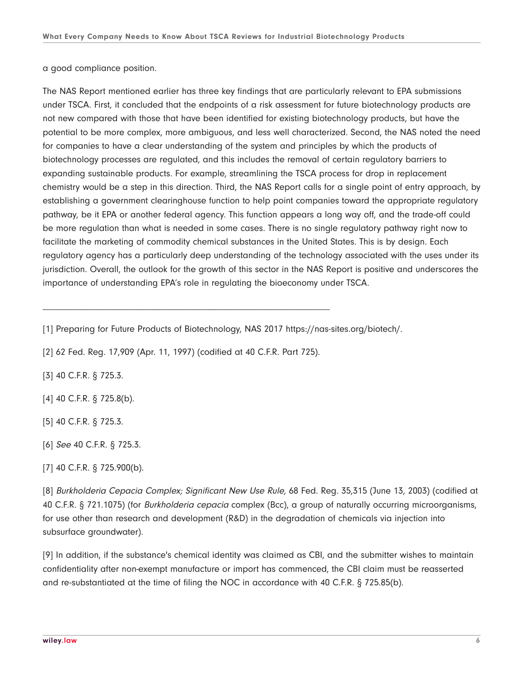a good compliance position.

The NAS Report mentioned earlier has three key findings that are particularly relevant to EPA submissions under TSCA. First, it concluded that the endpoints of a risk assessment for future biotechnology products are not new compared with those that have been identified for existing biotechnology products, but have the potential to be more complex, more ambiguous, and less well characterized. Second, the NAS noted the need for companies to have a clear understanding of the system and principles by which the products of biotechnology processes are regulated, and this includes the removal of certain regulatory barriers to expanding sustainable products. For example, streamlining the TSCA process for drop in replacement chemistry would be a step in this direction. Third, the NAS Report calls for a single point of entry approach, by establishing a government clearinghouse function to help point companies toward the appropriate regulatory pathway, be it EPA or another federal agency. This function appears a long way off, and the trade-off could be more regulation than what is needed in some cases. There is no single regulatory pathway right now to facilitate the marketing of commodity chemical substances in the United States. This is by design. Each regulatory agency has a particularly deep understanding of the technology associated with the uses under its jurisdiction. Overall, the outlook for the growth of this sector in the NAS Report is positive and underscores the importance of understanding EPA's role in regulating the bioeconomy under TSCA.

[1] Preparing for Future Products of Biotechnology, NAS 2017 https://nas-sites.org/biotech/.

[2] 62 Fed. Reg. 17,909 (Apr. 11, 1997) (codified at 40 C.F.R. Part 725).

\_\_\_\_\_\_\_\_\_\_\_\_\_\_\_\_\_\_\_\_\_\_\_\_\_\_\_\_\_\_\_\_\_\_\_\_\_\_\_\_\_\_\_\_\_\_\_\_\_\_\_\_\_\_\_\_\_\_\_\_\_

[3] 40 C.F.R. § 725.3.

[4] 40 C.F.R. § 725.8(b).

[5] 40 C.F.R. § 725.3.

[6] See 40 C.F.R. § 725.3.

[8] Burkholderia Cepacia Complex; Significant New Use Rule, 68 Fed. Reg. 35,315 (June 13, 2003) (codified at 40 C.F.R. § 721.1075) (for Burkholderia cepacia complex (Bcc), a group of naturally occurring microorganisms, for use other than research and development (R&D) in the degradation of chemicals via injection into subsurface groundwater).

[9] In addition, if the substance's chemical identity was claimed as CBI, and the submitter wishes to maintain confidentiality after non-exempt manufacture or import has commenced, the CBI claim must be reasserted and re-substantiated at the time of filing the NOC in accordance with 40 C.F.R. § 725.85(b).

<sup>[7] 40</sup> C.F.R. § 725.900(b).